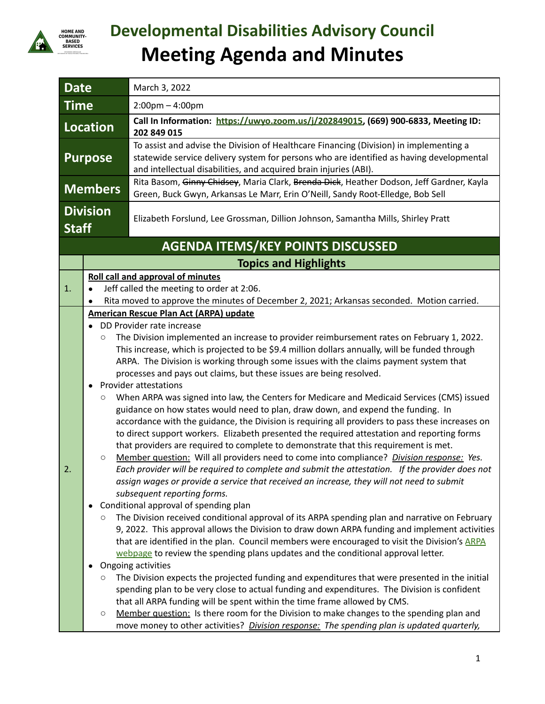

## **Developmental Disabilities Advisory Council Meeting Agenda and Minutes**

| <b>Date</b>                              |                                                                              | March 3, 2022                                                                                                                                                                                                                                                                                                                                                                                                                                                                                                                                                                                                                                                                                                                                                                                                                                                                                                                                                                                                                                                                                                                                                                                                                                                                                                                                                                                                                                                                                                                                                                                                                                                                                                                                                                                                                                                                                                                                                                                                                                                                                                                                                                                                              |  |  |  |  |
|------------------------------------------|------------------------------------------------------------------------------|----------------------------------------------------------------------------------------------------------------------------------------------------------------------------------------------------------------------------------------------------------------------------------------------------------------------------------------------------------------------------------------------------------------------------------------------------------------------------------------------------------------------------------------------------------------------------------------------------------------------------------------------------------------------------------------------------------------------------------------------------------------------------------------------------------------------------------------------------------------------------------------------------------------------------------------------------------------------------------------------------------------------------------------------------------------------------------------------------------------------------------------------------------------------------------------------------------------------------------------------------------------------------------------------------------------------------------------------------------------------------------------------------------------------------------------------------------------------------------------------------------------------------------------------------------------------------------------------------------------------------------------------------------------------------------------------------------------------------------------------------------------------------------------------------------------------------------------------------------------------------------------------------------------------------------------------------------------------------------------------------------------------------------------------------------------------------------------------------------------------------------------------------------------------------------------------------------------------------|--|--|--|--|
| <b>Time</b>                              |                                                                              | $2:00$ pm $-4:00$ pm                                                                                                                                                                                                                                                                                                                                                                                                                                                                                                                                                                                                                                                                                                                                                                                                                                                                                                                                                                                                                                                                                                                                                                                                                                                                                                                                                                                                                                                                                                                                                                                                                                                                                                                                                                                                                                                                                                                                                                                                                                                                                                                                                                                                       |  |  |  |  |
| Location                                 |                                                                              | Call In Information: https://uwyo.zoom.us/j/202849015, (669) 900-6833, Meeting ID:<br>202 849 015                                                                                                                                                                                                                                                                                                                                                                                                                                                                                                                                                                                                                                                                                                                                                                                                                                                                                                                                                                                                                                                                                                                                                                                                                                                                                                                                                                                                                                                                                                                                                                                                                                                                                                                                                                                                                                                                                                                                                                                                                                                                                                                          |  |  |  |  |
| <b>Purpose</b>                           |                                                                              | To assist and advise the Division of Healthcare Financing (Division) in implementing a<br>statewide service delivery system for persons who are identified as having developmental<br>and intellectual disabilities, and acquired brain injuries (ABI).                                                                                                                                                                                                                                                                                                                                                                                                                                                                                                                                                                                                                                                                                                                                                                                                                                                                                                                                                                                                                                                                                                                                                                                                                                                                                                                                                                                                                                                                                                                                                                                                                                                                                                                                                                                                                                                                                                                                                                    |  |  |  |  |
| <b>Members</b>                           |                                                                              | Rita Basom, Ginny Chidsey, Maria Clark, Brenda Dick, Heather Dodson, Jeff Gardner, Kayla<br>Green, Buck Gwyn, Arkansas Le Marr, Erin O'Neill, Sandy Root-Elledge, Bob Sell                                                                                                                                                                                                                                                                                                                                                                                                                                                                                                                                                                                                                                                                                                                                                                                                                                                                                                                                                                                                                                                                                                                                                                                                                                                                                                                                                                                                                                                                                                                                                                                                                                                                                                                                                                                                                                                                                                                                                                                                                                                 |  |  |  |  |
| <b>Division</b><br><b>Staff</b>          |                                                                              | Elizabeth Forslund, Lee Grossman, Dillion Johnson, Samantha Mills, Shirley Pratt                                                                                                                                                                                                                                                                                                                                                                                                                                                                                                                                                                                                                                                                                                                                                                                                                                                                                                                                                                                                                                                                                                                                                                                                                                                                                                                                                                                                                                                                                                                                                                                                                                                                                                                                                                                                                                                                                                                                                                                                                                                                                                                                           |  |  |  |  |
| <b>AGENDA ITEMS/KEY POINTS DISCUSSED</b> |                                                                              |                                                                                                                                                                                                                                                                                                                                                                                                                                                                                                                                                                                                                                                                                                                                                                                                                                                                                                                                                                                                                                                                                                                                                                                                                                                                                                                                                                                                                                                                                                                                                                                                                                                                                                                                                                                                                                                                                                                                                                                                                                                                                                                                                                                                                            |  |  |  |  |
|                                          |                                                                              | <b>Topics and Highlights</b>                                                                                                                                                                                                                                                                                                                                                                                                                                                                                                                                                                                                                                                                                                                                                                                                                                                                                                                                                                                                                                                                                                                                                                                                                                                                                                                                                                                                                                                                                                                                                                                                                                                                                                                                                                                                                                                                                                                                                                                                                                                                                                                                                                                               |  |  |  |  |
| 1.                                       |                                                                              | <b>Roll call and approval of minutes</b><br>Jeff called the meeting to order at 2:06.<br>Rita moved to approve the minutes of December 2, 2021; Arkansas seconded. Motion carried.                                                                                                                                                                                                                                                                                                                                                                                                                                                                                                                                                                                                                                                                                                                                                                                                                                                                                                                                                                                                                                                                                                                                                                                                                                                                                                                                                                                                                                                                                                                                                                                                                                                                                                                                                                                                                                                                                                                                                                                                                                         |  |  |  |  |
| 2.                                       | $\circ$<br>$\bullet$<br>$\circ$<br>$\circ$<br>О<br>$\bullet$<br>О<br>$\circ$ | <b>American Rescue Plan Act (ARPA) update</b><br>DD Provider rate increase<br>The Division implemented an increase to provider reimbursement rates on February 1, 2022.<br>This increase, which is projected to be \$9.4 million dollars annually, will be funded through<br>ARPA. The Division is working through some issues with the claims payment system that<br>processes and pays out claims, but these issues are being resolved.<br><b>Provider attestations</b><br>When ARPA was signed into law, the Centers for Medicare and Medicaid Services (CMS) issued<br>guidance on how states would need to plan, draw down, and expend the funding. In<br>accordance with the guidance, the Division is requiring all providers to pass these increases on<br>to direct support workers. Elizabeth presented the required attestation and reporting forms<br>that providers are required to complete to demonstrate that this requirement is met.<br>Member question: Will all providers need to come into compliance? Division response: Yes.<br>Each provider will be required to complete and submit the attestation. If the provider does not<br>assign wages or provide a service that received an increase, they will not need to submit<br>subsequent reporting forms.<br>Conditional approval of spending plan<br>The Division received conditional approval of its ARPA spending plan and narrative on February<br>9, 2022. This approval allows the Division to draw down ARPA funding and implement activities<br>that are identified in the plan. Council members were encouraged to visit the Division's ARPA<br>webpage to review the spending plans updates and the conditional approval letter.<br>Ongoing activities<br>The Division expects the projected funding and expenditures that were presented in the initial<br>spending plan to be very close to actual funding and expenditures. The Division is confident<br>that all ARPA funding will be spent within the time frame allowed by CMS.<br>Member question: Is there room for the Division to make changes to the spending plan and<br>move money to other activities? <i>Division response: The spending plan is updated quarterly,</i> |  |  |  |  |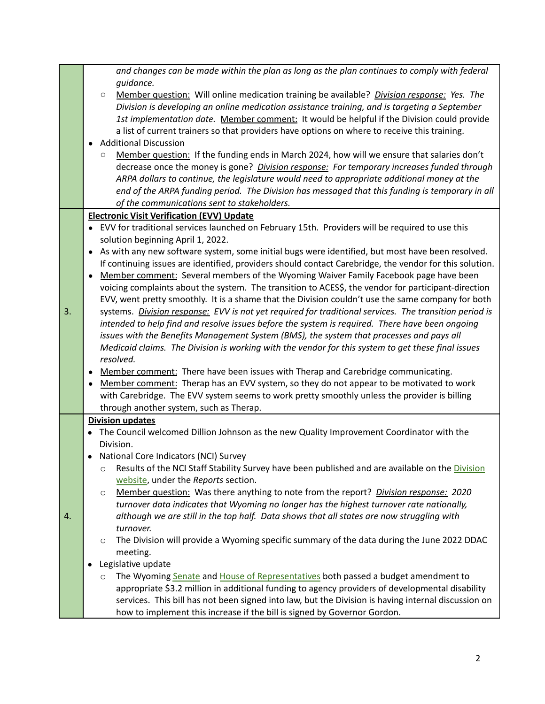|    | and changes can be made within the plan as long as the plan continues to comply with federal                  |  |  |
|----|---------------------------------------------------------------------------------------------------------------|--|--|
|    | guidance.                                                                                                     |  |  |
|    | Member question: Will online medication training be available? Division response: Yes. The<br>$\bigcirc$      |  |  |
|    | Division is developing an online medication assistance training, and is targeting a September                 |  |  |
|    | 1st implementation date. Member comment: It would be helpful if the Division could provide                    |  |  |
|    | a list of current trainers so that providers have options on where to receive this training.                  |  |  |
|    | <b>Additional Discussion</b>                                                                                  |  |  |
|    | Member question: If the funding ends in March 2024, how will we ensure that salaries don't<br>$\circ$         |  |  |
|    | decrease once the money is gone? Division response: For temporary increases funded through                    |  |  |
|    | ARPA dollars to continue, the legislature would need to appropriate additional money at the                   |  |  |
|    | end of the ARPA funding period. The Division has messaged that this funding is temporary in all               |  |  |
|    | of the communications sent to stakeholders.                                                                   |  |  |
|    | <b>Electronic Visit Verification (EVV) Update</b>                                                             |  |  |
|    | • EVV for traditional services launched on February 15th. Providers will be required to use this              |  |  |
|    | solution beginning April 1, 2022.                                                                             |  |  |
|    | As with any new software system, some initial bugs were identified, but most have been resolved.<br>$\bullet$ |  |  |
|    | If continuing issues are identified, providers should contact Carebridge, the vendor for this solution.       |  |  |
|    | Member comment: Several members of the Wyoming Waiver Family Facebook page have been<br>$\bullet$             |  |  |
|    | voicing complaints about the system. The transition to ACES\$, the vendor for participant-direction           |  |  |
|    | EVV, went pretty smoothly. It is a shame that the Division couldn't use the same company for both             |  |  |
| 3. | systems. Division response: EVV is not yet required for traditional services. The transition period is        |  |  |
|    | intended to help find and resolve issues before the system is required. There have been ongoing               |  |  |
|    | issues with the Benefits Management System (BMS), the system that processes and pays all                      |  |  |
|    | Medicaid claims. The Division is working with the vendor for this system to get these final issues            |  |  |
|    | resolved.                                                                                                     |  |  |
|    | Member comment: There have been issues with Therap and Carebridge communicating.<br>٠                         |  |  |
|    | Member comment: Therap has an EVV system, so they do not appear to be motivated to work<br>$\bullet$          |  |  |
|    | with Carebridge. The EVV system seems to work pretty smoothly unless the provider is billing                  |  |  |
|    | through another system, such as Therap.                                                                       |  |  |
|    | <b>Division updates</b>                                                                                       |  |  |
|    | The Council welcomed Dillion Johnson as the new Quality Improvement Coordinator with the                      |  |  |
|    | Division.                                                                                                     |  |  |
|    | National Core Indicators (NCI) Survey                                                                         |  |  |
|    | Results of the NCI Staff Stability Survey have been published and are available on the Division<br>O          |  |  |
|    | website, under the Reports section.                                                                           |  |  |
|    | Member question: Was there anything to note from the report? Division response: 2020<br>$\circ$               |  |  |
|    | turnover data indicates that Wyoming no longer has the highest turnover rate nationally,                      |  |  |
| 4. | although we are still in the top half. Data shows that all states are now struggling with                     |  |  |
|    | turnover.                                                                                                     |  |  |
|    | The Division will provide a Wyoming specific summary of the data during the June 2022 DDAC<br>$\circ$         |  |  |
|    | meeting.                                                                                                      |  |  |
|    | Legislative update                                                                                            |  |  |
|    | The Wyoming Senate and House of Representatives both passed a budget amendment to<br>O                        |  |  |
|    | appropriate \$3.2 million in additional funding to agency providers of developmental disability               |  |  |
|    | services. This bill has not been signed into law, but the Division is having internal discussion on           |  |  |
|    | how to implement this increase if the bill is signed by Governor Gordon.                                      |  |  |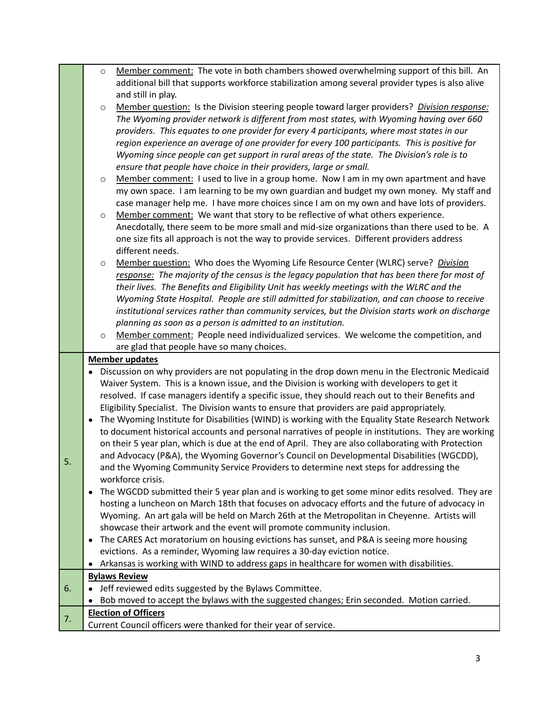|    | $\circ$ | Member comment: The vote in both chambers showed overwhelming support of this bill. An              |
|----|---------|-----------------------------------------------------------------------------------------------------|
|    |         | additional bill that supports workforce stabilization among several provider types is also alive    |
|    |         | and still in play.                                                                                  |
|    | $\circ$ | Member question: Is the Division steering people toward larger providers? Division response:        |
|    |         | The Wyoming provider network is different from most states, with Wyoming having over 660            |
|    |         | providers. This equates to one provider for every 4 participants, where most states in our          |
|    |         | region experience an average of one provider for every 100 participants. This is positive for       |
|    |         |                                                                                                     |
|    |         | Wyoming since people can get support in rural areas of the state. The Division's role is to         |
|    |         | ensure that people have choice in their providers, large or small.                                  |
|    | $\circ$ | Member comment: I used to live in a group home. Now I am in my own apartment and have               |
|    |         | my own space. I am learning to be my own guardian and budget my own money. My staff and             |
|    |         | case manager help me. I have more choices since I am on my own and have lots of providers.          |
|    | $\circ$ | Member comment: We want that story to be reflective of what others experience.                      |
|    |         | Anecdotally, there seem to be more small and mid-size organizations than there used to be. A        |
|    |         | one size fits all approach is not the way to provide services. Different providers address          |
|    |         | different needs.                                                                                    |
|    | $\circ$ | Member question: Who does the Wyoming Life Resource Center (WLRC) serve? Division                   |
|    |         | response: The majority of the census is the legacy population that has been there for most of       |
|    |         | their lives. The Benefits and Eligibility Unit has weekly meetings with the WLRC and the            |
|    |         | Wyoming State Hospital. People are still admitted for stabilization, and can choose to receive      |
|    |         | institutional services rather than community services, but the Division starts work on discharge    |
|    |         | planning as soon as a person is admitted to an institution.                                         |
|    | $\circ$ | Member comment: People need individualized services. We welcome the competition, and                |
|    |         |                                                                                                     |
|    |         | are glad that people have so many choices.                                                          |
|    |         | <b>Member updates</b>                                                                               |
|    |         | Discussion on why providers are not populating in the drop down menu in the Electronic Medicaid     |
|    |         | Waiver System. This is a known issue, and the Division is working with developers to get it         |
|    |         | resolved. If case managers identify a specific issue, they should reach out to their Benefits and   |
|    |         | Eligibility Specialist. The Division wants to ensure that providers are paid appropriately.         |
|    |         | The Wyoming Institute for Disabilities (WIND) is working with the Equality State Research Network   |
|    |         | to document historical accounts and personal narratives of people in institutions. They are working |
|    |         | on their 5 year plan, which is due at the end of April. They are also collaborating with Protection |
|    |         | and Advocacy (P&A), the Wyoming Governor's Council on Developmental Disabilities (WGCDD),           |
| 5. |         | and the Wyoming Community Service Providers to determine next steps for addressing the              |
|    |         | workforce crisis.                                                                                   |
|    |         | The WGCDD submitted their 5 year plan and is working to get some minor edits resolved. They are     |
|    |         | hosting a luncheon on March 18th that focuses on advocacy efforts and the future of advocacy in     |
|    |         | Wyoming. An art gala will be held on March 26th at the Metropolitan in Cheyenne. Artists will       |
|    |         | showcase their artwork and the event will promote community inclusion.                              |
|    |         | The CARES Act moratorium on housing evictions has sunset, and P&A is seeing more housing            |
|    |         | evictions. As a reminder, Wyoming law requires a 30-day eviction notice.                            |
|    |         | Arkansas is working with WIND to address gaps in healthcare for women with disabilities.            |
|    |         | <b>Bylaws Review</b>                                                                                |
| 6. |         | Jeff reviewed edits suggested by the Bylaws Committee.                                              |
|    |         | Bob moved to accept the bylaws with the suggested changes; Erin seconded. Motion carried.           |
| 7. |         | <b>Election of Officers</b><br>Current Council officers were thanked for their year of service.     |